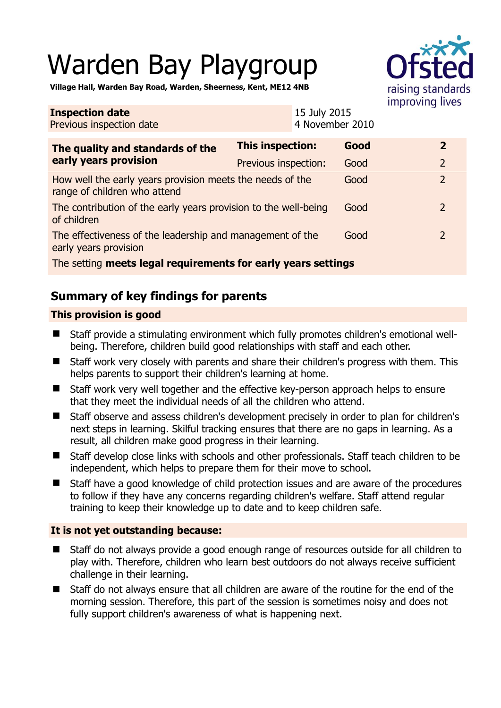# Warden Bay Playgroup



**Village Hall, Warden Bay Road, Warden, Sheerness, Kent, ME12 4NB** 

| <b>Inspection date</b><br>Previous inspection date                                        |                         | 15 July 2015<br>4 November 2010 |      |  |                |
|-------------------------------------------------------------------------------------------|-------------------------|---------------------------------|------|--|----------------|
| The quality and standards of the<br>early years provision                                 | <b>This inspection:</b> |                                 | Good |  | $\overline{2}$ |
|                                                                                           | Previous inspection:    |                                 | Good |  | $\overline{2}$ |
| How well the early years provision meets the needs of the<br>range of children who attend |                         |                                 | Good |  | $\overline{2}$ |
| The contribution of the early years provision to the well-being<br>of children            |                         |                                 | Good |  | $\overline{2}$ |
| The effectiveness of the leadership and management of the<br>early years provision        |                         |                                 | Good |  | 2              |
| The setting meets legal requirements for early years settings                             |                         |                                 |      |  |                |

# **Summary of key findings for parents**

## **This provision is good**

- Staff provide a stimulating environment which fully promotes children's emotional wellbeing. Therefore, children build good relationships with staff and each other.
- Staff work very closely with parents and share their children's progress with them. This helps parents to support their children's learning at home.
- Staff work very well together and the effective key-person approach helps to ensure that they meet the individual needs of all the children who attend.
- Staff observe and assess children's development precisely in order to plan for children's next steps in learning. Skilful tracking ensures that there are no gaps in learning. As a result, all children make good progress in their learning.
- Staff develop close links with schools and other professionals. Staff teach children to be independent, which helps to prepare them for their move to school.
- Staff have a good knowledge of child protection issues and are aware of the procedures to follow if they have any concerns regarding children's welfare. Staff attend regular training to keep their knowledge up to date and to keep children safe.

## **It is not yet outstanding because:**

- Staff do not always provide a good enough range of resources outside for all children to play with. Therefore, children who learn best outdoors do not always receive sufficient challenge in their learning.
- Staff do not always ensure that all children are aware of the routine for the end of the morning session. Therefore, this part of the session is sometimes noisy and does not fully support children's awareness of what is happening next.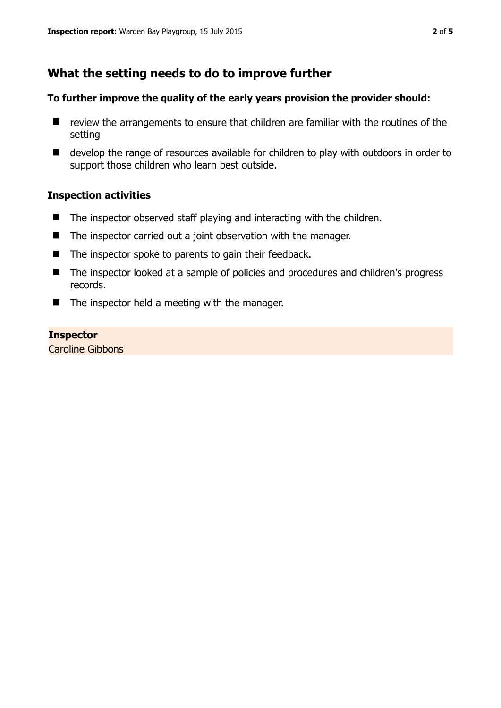# **What the setting needs to do to improve further**

#### **To further improve the quality of the early years provision the provider should:**

- $\blacksquare$  review the arrangements to ensure that children are familiar with the routines of the setting
- develop the range of resources available for children to play with outdoors in order to support those children who learn best outside.

#### **Inspection activities**

- $\blacksquare$  The inspector observed staff playing and interacting with the children.
- The inspector carried out a joint observation with the manager.
- The inspector spoke to parents to gain their feedback.
- The inspector looked at a sample of policies and procedures and children's progress records.
- $\blacksquare$  The inspector held a meeting with the manager.

#### **Inspector**

Caroline Gibbons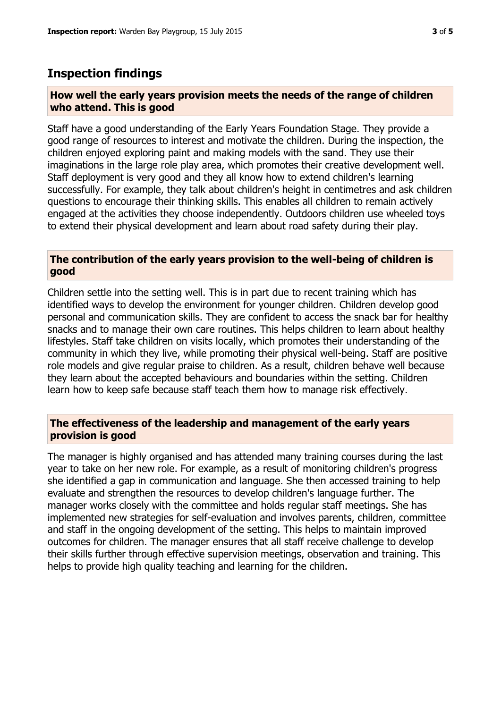## **Inspection findings**

#### **How well the early years provision meets the needs of the range of children who attend. This is good**

Staff have a good understanding of the Early Years Foundation Stage. They provide a good range of resources to interest and motivate the children. During the inspection, the children enjoyed exploring paint and making models with the sand. They use their imaginations in the large role play area, which promotes their creative development well. Staff deployment is very good and they all know how to extend children's learning successfully. For example, they talk about children's height in centimetres and ask children questions to encourage their thinking skills. This enables all children to remain actively engaged at the activities they choose independently. Outdoors children use wheeled toys to extend their physical development and learn about road safety during their play.

#### **The contribution of the early years provision to the well-being of children is good**

Children settle into the setting well. This is in part due to recent training which has identified ways to develop the environment for younger children. Children develop good personal and communication skills. They are confident to access the snack bar for healthy snacks and to manage their own care routines. This helps children to learn about healthy lifestyles. Staff take children on visits locally, which promotes their understanding of the community in which they live, while promoting their physical well-being. Staff are positive role models and give regular praise to children. As a result, children behave well because they learn about the accepted behaviours and boundaries within the setting. Children learn how to keep safe because staff teach them how to manage risk effectively.

#### **The effectiveness of the leadership and management of the early years provision is good**

The manager is highly organised and has attended many training courses during the last year to take on her new role. For example, as a result of monitoring children's progress she identified a gap in communication and language. She then accessed training to help evaluate and strengthen the resources to develop children's language further. The manager works closely with the committee and holds regular staff meetings. She has implemented new strategies for self-evaluation and involves parents, children, committee and staff in the ongoing development of the setting. This helps to maintain improved outcomes for children. The manager ensures that all staff receive challenge to develop their skills further through effective supervision meetings, observation and training. This helps to provide high quality teaching and learning for the children.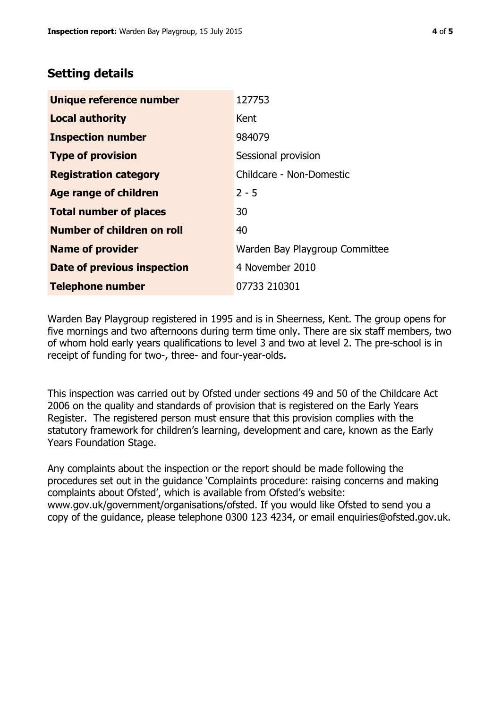# **Setting details**

| Unique reference number       | 127753                         |
|-------------------------------|--------------------------------|
| <b>Local authority</b>        | Kent                           |
| <b>Inspection number</b>      | 984079                         |
| <b>Type of provision</b>      | Sessional provision            |
| <b>Registration category</b>  | Childcare - Non-Domestic       |
| <b>Age range of children</b>  | $2 - 5$                        |
| <b>Total number of places</b> | 30                             |
| Number of children on roll    | 40                             |
| <b>Name of provider</b>       | Warden Bay Playgroup Committee |
| Date of previous inspection   | 4 November 2010                |
| <b>Telephone number</b>       | 07733 210301                   |

Warden Bay Playgroup registered in 1995 and is in Sheerness, Kent. The group opens for five mornings and two afternoons during term time only. There are six staff members, two of whom hold early years qualifications to level 3 and two at level 2. The pre-school is in receipt of funding for two-, three- and four-year-olds.

This inspection was carried out by Ofsted under sections 49 and 50 of the Childcare Act 2006 on the quality and standards of provision that is registered on the Early Years Register. The registered person must ensure that this provision complies with the statutory framework for children's learning, development and care, known as the Early Years Foundation Stage.

Any complaints about the inspection or the report should be made following the procedures set out in the guidance 'Complaints procedure: raising concerns and making complaints about Ofsted', which is available from Ofsted's website: www.gov.uk/government/organisations/ofsted. If you would like Ofsted to send you a copy of the guidance, please telephone 0300 123 4234, or email enquiries@ofsted.gov.uk.